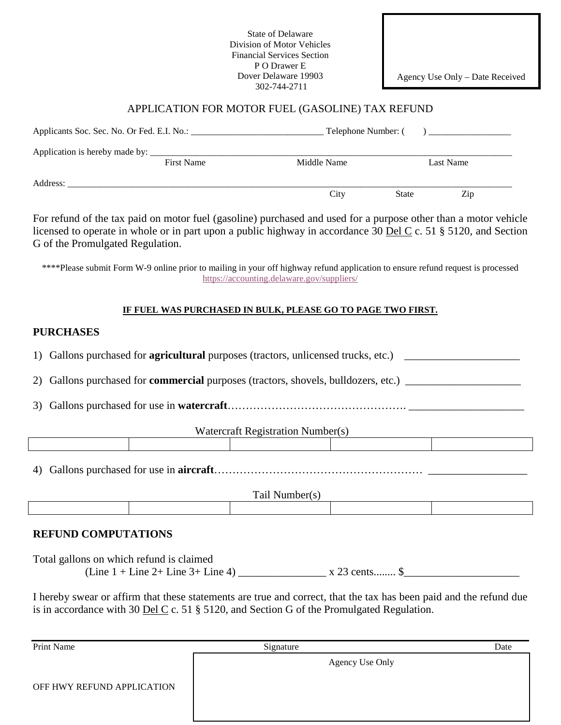State of Delaware Division of Motor Vehicles Financial Services Section P O Drawer E Dover Delaware 19903 302-744-2711

Agency Use Only – Date Received

## APPLICATION FOR MOTOR FUEL (GASOLINE) TAX REFUND

|          |                   | Telephone Number: ( |       | ) <u>_________________</u> ______ |
|----------|-------------------|---------------------|-------|-----------------------------------|
|          |                   |                     |       |                                   |
|          | <b>First Name</b> | Middle Name         |       | Last Name                         |
| Address: |                   |                     |       |                                   |
|          |                   | City                | State | Zip                               |

For refund of the tax paid on motor fuel (gasoline) purchased and used for a purpose other than a motor vehicle licensed to operate in whole or in part upon a public highway in accordance 30 <u>Del C</u> c. 51 § 5120, and Section G of the Promulgated Regulation.

\*\*\*\*Please submit Form W-9 online prior to mailing in your off highway refund application to ensure refund request is processed <https://accounting.delaware.gov/suppliers/>

## **IF FUEL WAS PURCHASED IN BULK, PLEASE GO TO PAGE TWO FIRST.**

## **PURCHASES**

| Watercraft Registration Number(s)                                                                                                                                                                                  |  |  |  |  |  |
|--------------------------------------------------------------------------------------------------------------------------------------------------------------------------------------------------------------------|--|--|--|--|--|
|                                                                                                                                                                                                                    |  |  |  |  |  |
| 4)<br>Tail Number(s)                                                                                                                                                                                               |  |  |  |  |  |
|                                                                                                                                                                                                                    |  |  |  |  |  |
| <b>REFUND COMPUTATIONS</b>                                                                                                                                                                                         |  |  |  |  |  |
| Total gallons on which refund is claimed                                                                                                                                                                           |  |  |  |  |  |
|                                                                                                                                                                                                                    |  |  |  |  |  |
| I hereby swear or affirm that these statements are true and correct, that the tax has been paid and the refund due<br>is in accordance with 30 Del C c. 51 $\S$ 5120, and Section G of the Promulgated Regulation. |  |  |  |  |  |

| Print Name                 | Signature       | Date |
|----------------------------|-----------------|------|
|                            | Agency Use Only |      |
| OFF HWY REFUND APPLICATION |                 |      |